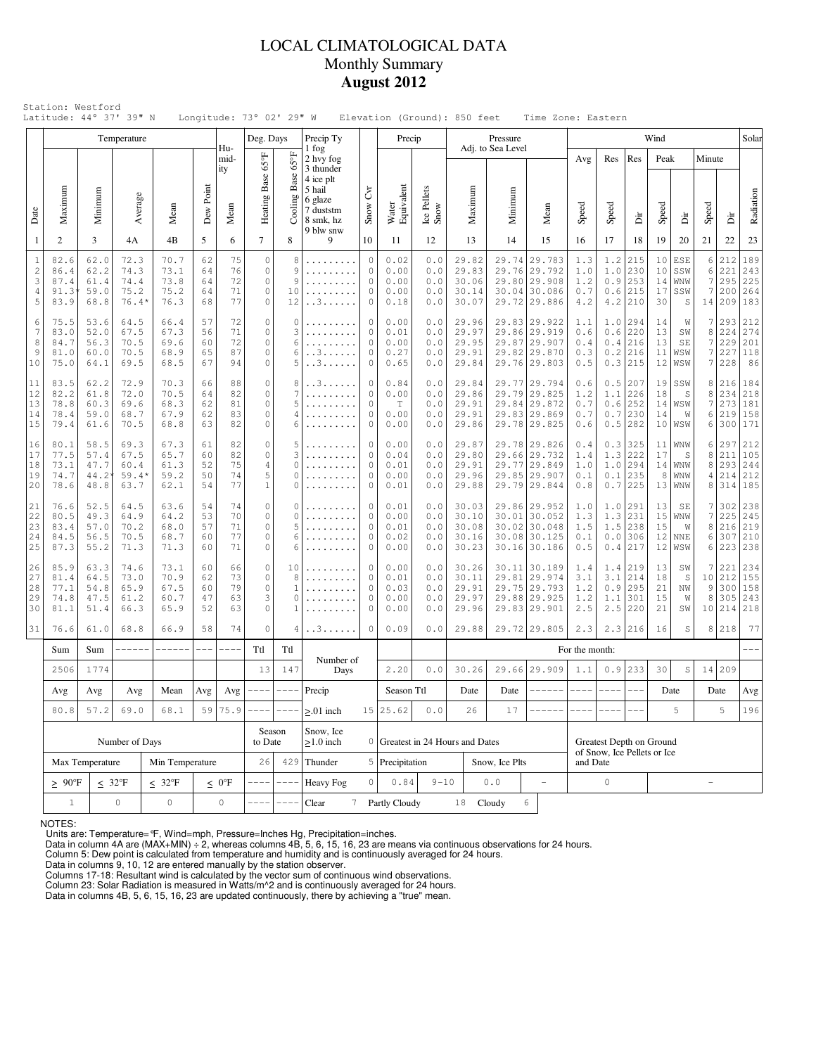## LOCAL CLIMATOLOGICAL DATA Monthly Summary **August 2012**

|                                                                   |                                                                                  |                                                                                                                                                                                  | Temperature                             |                                                         |                            |                            | Deg. Days                                                 |                                                | Precip Ty                                                |                                                           | Precip                               |                                   |                                                                  | Pressure                        |                         |                                                                              |                                 |                                 |                                                       | Wind                              |                                              |                        |                                 | Solar                                  |
|-------------------------------------------------------------------|----------------------------------------------------------------------------------|----------------------------------------------------------------------------------------------------------------------------------------------------------------------------------|-----------------------------------------|---------------------------------------------------------|----------------------------|----------------------------|-----------------------------------------------------------|------------------------------------------------|----------------------------------------------------------|-----------------------------------------------------------|--------------------------------------|-----------------------------------|------------------------------------------------------------------|---------------------------------|-------------------------|------------------------------------------------------------------------------|---------------------------------|---------------------------------|-------------------------------------------------------|-----------------------------------|----------------------------------------------|------------------------|---------------------------------|----------------------------------------|
|                                                                   |                                                                                  |                                                                                                                                                                                  |                                         |                                                         |                            | Hu-<br>mid-<br>ity         |                                                           | $65^{\circ}$ F<br><b>Base</b>                  | 1 fog<br>2 hvy fog<br>3 thunder<br>4 ice plt             |                                                           |                                      |                                   |                                                                  | Adj. to Sea Level               |                         |                                                                              | Avg                             | Res                             | Res                                                   | Peak                              |                                              | Minute                 |                                 |                                        |
| Date                                                              | Maximum                                                                          | Minimum                                                                                                                                                                          | Average                                 | Mean                                                    | Dew Point                  | Mean                       | Heating Base 65°F                                         | Cooling                                        | 5 hail<br>6 glaze<br>7 duststm<br>8 smk, hz<br>9 blw snw | $\mathcal{E}$<br>Snow                                     | Water<br>Equivalent                  | Ice Pellets<br>Snow               | Maximum                                                          |                                 | Minimum                 | Mean                                                                         | Speed                           | Speed                           | Ъï                                                    | Speed                             | Èir                                          | Speed                  | ä                               | Radiation                              |
| $\mathbf{1}$                                                      | $\overline{2}$                                                                   | 3                                                                                                                                                                                | 4A                                      | 4B                                                      | 5                          | 6                          | $\overline{7}$                                            | 8                                              | 9                                                        | 10                                                        | 11                                   | 12                                | 13                                                               |                                 | 14                      | 15                                                                           | 16                              | 17                              | 18                                                    | 19                                | 20                                           | 21                     | 22                              | 23                                     |
| $\mathbf{1}$<br>$\sqrt{2}$<br>$\mathbf{3}$<br>$\overline{4}$<br>5 | 82.6<br>86.4<br>87.4<br>91.3<br>83.9                                             | 62.0<br>62.2<br>61.4<br>59.0<br>68.8                                                                                                                                             | 72.3<br>74.3<br>74.4<br>75.2<br>$76.4*$ | 70.7<br>73.1<br>73.8<br>75.2<br>76.3                    | 62<br>64<br>64<br>64<br>68 | 75<br>76<br>72<br>71<br>77 | $\circ$<br>$\circ$<br>$\circ$<br>$\circ$<br>$\circ$       | 8<br>9<br>9<br>10<br>12                        | .<br>.<br>. . 3                                          | $\theta$<br>$\circ$<br>$\circ$<br>$\circ$<br>$\circ$      | 0.02<br>0.00<br>0.00<br>0.00<br>0.18 | 0.0<br>0.0<br>0.0<br>0.0<br>0.0   | 29.82<br>29.83<br>30.06<br>30.14<br>30.07                        |                                 | 29.74<br>29.76<br>29.80 | 29.783<br>29.792<br>29.908<br>30.04 30.086<br>29.72 29.886                   | 1.3<br>1.0<br>1.2<br>0.7<br>4.2 | 1.2<br>1.0<br>0.9<br>4.2        | 215<br>230<br>253<br>$0.6$   215<br>210               | 10<br>10<br>14<br>17<br>30        | ESE<br>SSW<br>WNW<br>SSW<br>S                | 6<br>6<br>7<br>7<br>14 | 212<br>221<br>295<br>200<br>209 | 189<br>243<br>225<br>264<br>183        |
| 6<br>7<br>8<br>9<br>10                                            | 75.5<br>83.0<br>84.7<br>81.0<br>75.0                                             | 72<br>53.6<br>66.4<br>57<br>64.5<br>52.0<br>71<br>67.5<br>67.3<br>56<br>72<br>56.3<br>70.5<br>69.6<br>60<br>87<br>70.5<br>68.9<br>65<br>60.0<br>64.1<br>69.5<br>68.5<br>67<br>94 |                                         | $\circ$<br>$\circ$<br>$\circ$<br>$\mathbb O$<br>$\circ$ | 0<br>3<br>6<br>6<br>5      | . . 3<br>. . 3             | $\circ$<br>$\mathbf{0}$<br>$\circ$<br>$\circ$<br>$\Omega$ | 0.00<br>0.01<br>0.00<br>0.27<br>0.65           | 0.0<br>0.0<br>0.0<br>0.0<br>0.0                          | 29.96<br>29.97<br>29.95<br>29.91<br>29.84                 |                                      | 29.86<br>29.87                    | 29.83 29.922<br>29.919<br>29.907<br>29.82 29.870<br>29.76 29.803 | 1.1<br>0.6<br>0.4<br>0.3<br>0.5 | 0.6<br>0.4              | $1.0$  294<br>220<br>216<br>$0.2$   216<br>$0.3$ 215                         | 14<br>13<br>13<br>11<br>12      | W<br>SW<br>SE<br>WSW<br>WSW     | 7<br>8<br>7<br>7                                      | 293<br>224<br>229<br>7 227<br>228 | 212<br>274<br>201<br>118<br>86               |                        |                                 |                                        |
| 11<br>12<br>13<br>14<br>15                                        | 83.5<br>82.2<br>78.8<br>78.4<br>79.4                                             | 62.2<br>61.8<br>60.3<br>59.0<br>61.6                                                                                                                                             | 72.9<br>72.0<br>69.6<br>68.7<br>70.5    | 70.3<br>70.5<br>68.3<br>67.9<br>68.8                    | 66<br>64<br>62<br>62<br>63 | 88<br>82<br>81<br>83<br>82 | $\circ$<br>$\circ$<br>$\circ$<br>$\circ$<br>$\circ$       | 8<br>7<br>5<br>$\overline{4}$<br>6             | . . 3                                                    | 0<br>$\circ$<br>$\circ$<br>$\circ$<br>$\circ$             | 0.84<br>0.00<br>T<br>0.00<br>0.00    | 0.0<br>0.0<br>0.0<br>0.0<br>0.0   | 29.84<br>29.86<br>29.91<br>29.91<br>29.86                        |                                 |                         | 29.77 29.794<br>29.79 29.825<br>29.84 29.872<br>29.83 29.869<br>29.78 29.825 | 0.6<br>1.2<br>0.7<br>0.7<br>0.6 | 0.5<br>1.1<br>0.6<br>0.7        | 207<br>226<br>252<br>230<br>$0.5$ 282                 | 19<br>18<br>14<br>14              | SSW<br>S<br>WSW<br>W<br>10 WSW               | 8<br>8<br>7<br>6<br>6  | 216<br>234<br>273<br>219<br>300 | 184<br>218<br>181<br>158<br>171        |
| 16<br>17<br>18<br>19<br>20                                        | 80.1<br>77.5<br>73.1<br>74.7<br>78.6                                             | 58.5<br>57.4<br>47.7<br>44.2<br>48.8                                                                                                                                             | 69.3<br>67.5<br>60.4<br>$59.4*$<br>63.7 | 67.3<br>65.7<br>61.3<br>59.2<br>62.1                    | 61<br>60<br>52<br>50<br>54 | 82<br>82<br>75<br>74<br>77 | $\circ$<br>$\circ$<br>$\overline{4}$<br>5<br>$\mathbf{1}$ | 5<br>3<br>$\Omega$<br>0<br>$\Omega$            |                                                          | 0<br>$\circ$<br>$\circ$<br>$\circ$<br>$\circ$             | 0.00<br>0.04<br>0.01<br>0.00<br>0.01 | 0.0<br>0.0<br>0.0<br>0.0<br>0.0   | 29.87<br>29.80<br>29.91<br>29.96<br>29.88                        |                                 | 29.66<br>29.77          | 29.78 29.826<br>29.732<br>29.849<br>29.85 29.907<br>29.79 29.844             | 0.4<br>1.4<br>1.0<br>0.1<br>0.8 | 0.3<br>1.3<br>1.0<br>0.1        | 325<br>222<br>1294<br>235<br>$0.7$   225              | 11<br>17<br>8                     | <b>WNW</b><br>S<br>14 WW<br>WNW<br>$13 $ WNW | 6<br>8<br>8<br>4<br>8  | 297<br>211<br>293<br>214<br>314 | 212<br>105<br>244<br>212<br>185        |
| 21<br>22<br>23<br>24<br>25                                        | 76.6<br>80.5<br>83.4<br>84.5<br>87.3                                             | 52.5<br>49.3<br>57.0<br>56.5<br>55.2                                                                                                                                             | 64.5<br>64.9<br>70.2<br>70.5<br>71.3    | 63.6<br>64.2<br>68.0<br>68.7<br>71.3                    | 54<br>53<br>57<br>60<br>60 | 74<br>70<br>71<br>77<br>71 | $\circ$<br>$\circ$<br>$\circ$<br>$\circ$<br>$\circ$       | $\Omega$<br>$\Omega$<br>.5<br>6<br>6           | .<br>.                                                   | $\theta$<br>$\mathbf{0}$<br>$\circ$<br>$\circ$<br>$\circ$ | 0.01<br>0.00<br>0.01<br>0.02<br>0.00 | 0.0<br>0.0<br>0.0<br>0.0<br>$0.0$ | 30.03<br>30.10<br>30.08<br>30.16<br>30.23                        |                                 | 29.86<br>30.01          | 29.952<br>30.052<br>30.02 30.048<br>30.08 30.125<br>30.16 30.186             | 1.0<br>1.3<br>1.5<br>0.1<br>0.5 | 1.3<br>1.5                      | $1.0$  291<br>231<br>238<br>$0.0$  306<br>$0.4$   217 | 13<br>15<br>15<br>12<br>12        | SE<br>WNW<br>W<br><b>NNE</b><br>WSW          | 7<br>7<br>8<br>6<br>6  | 302<br>225<br>216<br>307<br>223 | 238<br>245<br>219<br>210<br>238        |
| 26<br>27<br>28<br>29<br>30                                        | 85.9<br>81.4<br>77.1<br>74.8<br>81.1                                             | 63.3<br>64.5<br>54.8<br>47.5<br>51.4                                                                                                                                             | 74.6<br>73.0<br>65.9<br>61.2<br>66.3    | 73.1<br>70.9<br>67.5<br>60.7<br>65.9                    | 60<br>62<br>60<br>47<br>52 | 66<br>73<br>79<br>63<br>63 | $\circ$<br>$\circ$<br>$\circ$<br>3<br>$\circ$             | 10<br>8<br>1<br>$\Omega$<br>-1                 |                                                          | 0<br>$\circ$<br>$\mathbf{0}$<br>$\circ$<br>$\circ$        | 0.00<br>0.01<br>0.03<br>0.00<br>0.00 | 0.0<br>0.0<br>0.0<br>0.0<br>0.0   | 30.26<br>30.11<br>29.91<br>29.97<br>29.96                        |                                 | 29.75<br>29.88          | 30.11 30.189<br>29.81 29.974<br>29.793<br>29.925<br>29.83 29.901             | 1.4<br>3.1<br>1.2<br>1.2<br>2.5 | 1.4<br>3.1<br>0.9<br>1.1<br>2.5 | 219<br>214<br>295<br>301<br>1220                      | 13<br>18<br>21<br>15<br>21        | SW<br>S<br>NW<br>W<br>SW                     | 7<br>10<br>9<br>8      | 221<br>212<br>300<br>305        | 234<br>155<br>158<br>243<br>10 214 218 |
| 31                                                                | 76.6                                                                             | 61.0                                                                                                                                                                             | 68.8                                    | 66.9                                                    | 58                         | 74                         | $\circ$                                                   | 4                                              | . . 3                                                    | 0                                                         | 0.09                                 | 0.0                               | 29.88                                                            |                                 |                         | 29.72 29.805                                                                 | 2.3                             |                                 | $2.3$ 216                                             | 16                                | $\mathbb S$                                  | 8                      | 218                             | 77                                     |
|                                                                   | Sum                                                                              | Sum                                                                                                                                                                              | ------                                  | ------                                                  | $- - -$                    | $--- - -$                  | Ttl                                                       | Ttl                                            | Number of                                                |                                                           |                                      |                                   |                                                                  |                                 |                         |                                                                              | For the month:                  |                                 |                                                       |                                   |                                              |                        |                                 |                                        |
|                                                                   | 2506                                                                             | 147<br>1774<br>13<br>Days                                                                                                                                                        |                                         |                                                         | 2.20                       | 0.0                        | 30.26                                                     |                                                | 29.66                                                    | 29.909                                                    | 1.1                                  | 0.9                               | 233                                                              | 30                              | $\mathbb S$             | 14                                                                           | 209                             |                                 |                                                       |                                   |                                              |                        |                                 |                                        |
|                                                                   | Avg<br>Avg<br>Avg<br>80.8<br>57.2                                                |                                                                                                                                                                                  |                                         | Mean                                                    | Avg<br>59                  | Avg                        | ----                                                      | ----                                           | Precip                                                   |                                                           | Season Ttl                           |                                   | Date                                                             |                                 | Date                    |                                                                              |                                 |                                 |                                                       |                                   | Date                                         |                        | Date                            | Avg                                    |
|                                                                   |                                                                                  |                                                                                                                                                                                  | 69.0<br>Number of Days                  | 68.1                                                    | 75.9                       | ----<br>Season<br>to Date  | $-$                                                       | $\geq 01$ inch<br>Snow, Ice<br>$\geq$ 1.0 inch |                                                          | 15 25.62                                                  | $0.0$                                | 26                                |                                                                  | 17                              |                         | Greatest Depth on Ground                                                     |                                 |                                 |                                                       | 5                                 |                                              | 5                      | 196                             |                                        |
|                                                                   |                                                                                  | Max Temperature                                                                                                                                                                  |                                         | Min Temperature                                         |                            |                            | 26                                                        | 429                                            | Thunder                                                  |                                                           | 5 Precipitation                      |                                   | 0 Greatest in 24 Hours and Dates<br>Snow, Ice Plts               |                                 |                         |                                                                              | and Date                        | of Snow, Ice Pellets or Ice     |                                                       |                                   |                                              |                        |                                 |                                        |
|                                                                   | $\geq 90^{\circ}$ F                                                              |                                                                                                                                                                                  |                                         | $\leq 32^{\circ}F$                                      |                            | $\leq 0$ <sup>o</sup> F    |                                                           | $---$                                          | Heavy Fog                                                | $\circ$                                                   | 0.84                                 | $9 - 10$                          |                                                                  | $0.0$                           |                         | $\overline{\phantom{a}}$                                                     |                                 | $\mathbb O$                     |                                                       |                                   |                                              |                        |                                 |                                        |
|                                                                   | $\leq 32^{\circ}F$<br>$\mathsf{O}\xspace$<br>$\mathsf{O}\xspace$<br>$\mathbf{1}$ |                                                                                                                                                                                  |                                         |                                                         |                            | $\mathsf{O}\xspace$        | ----                                                      | $ -$                                           | Clear<br>7                                               |                                                           | Partly Cloudy                        |                                   |                                                                  | 18 Cloudy                       |                         | 6                                                                            |                                 |                                 |                                                       |                                   |                                              |                        |                                 |                                        |

NOTES:

Units are: Temperature=°F, Wind=mph, Pressure=Inches Hg, Precipitation=inches.<br>Data in column 4A are (MAX+MIN) ÷ 2, whereas columns 4B, 5, 6, 15, 16, 23 are means via continuous observations for 24 hours.<br>Column 5: Dew poi

Column 23: Solar Radiation is measured in Watts/m^2 and is continuously averaged for 24 hours. Data in columns 4B, 5, 6, 15, 16, 23 are updated continuously, there by achieving a "true" mean.

Columns 17-18: Resultant wind is calculated by the vector sum of continuous wind observations.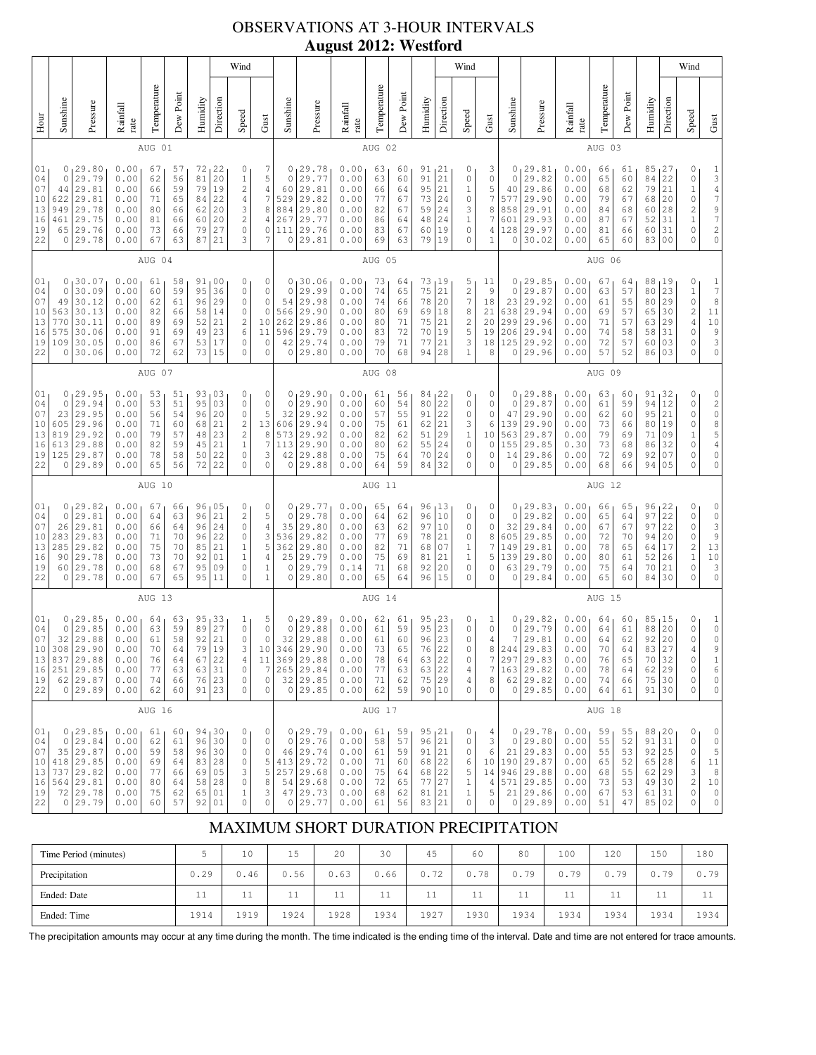# OBSERVATIONS AT 3-HOUR INTERVALS **August 2012: Westford**

|                                                  |                                                     |                                                                                                   |                                                              |                                              |                                              |                                                       |                                              | Wind                                                                                          |                                                                                         |                                                        |                                                                                              |                                                              |                                              |                                              |                                                     |                                              | Wind                                                           |                                                 |                                                          |                                                                                               |                                                              |                                              |                                              |                                                              |                                                          | Wind                                                            |                                                                                                                                |
|--------------------------------------------------|-----------------------------------------------------|---------------------------------------------------------------------------------------------------|--------------------------------------------------------------|----------------------------------------------|----------------------------------------------|-------------------------------------------------------|----------------------------------------------|-----------------------------------------------------------------------------------------------|-----------------------------------------------------------------------------------------|--------------------------------------------------------|----------------------------------------------------------------------------------------------|--------------------------------------------------------------|----------------------------------------------|----------------------------------------------|-----------------------------------------------------|----------------------------------------------|----------------------------------------------------------------|-------------------------------------------------|----------------------------------------------------------|-----------------------------------------------------------------------------------------------|--------------------------------------------------------------|----------------------------------------------|----------------------------------------------|--------------------------------------------------------------|----------------------------------------------------------|-----------------------------------------------------------------|--------------------------------------------------------------------------------------------------------------------------------|
| Hour                                             | Sunshine                                            | Pressure                                                                                          | Rainfall<br>rate                                             | Temperature                                  | Dew Point                                    | Humidity                                              | Direction                                    | Speed                                                                                         | Gust                                                                                    | Sunshine                                               | Pressure                                                                                     | Rainfall<br>rate                                             | Temperature                                  | Dew Poin                                     | Humidity                                            | Direction                                    | Speed                                                          | Gust                                            | Sunshine                                                 | Pressure                                                                                      | Rainfall<br>rate                                             | Temperature                                  | Dew Point                                    | Humidity                                                     | Direction                                                | Speed                                                           | Gust                                                                                                                           |
|                                                  |                                                     |                                                                                                   |                                                              | AUG 01                                       |                                              |                                                       |                                              |                                                                                               |                                                                                         |                                                        |                                                                                              |                                                              | AUG 02                                       |                                              |                                                     |                                              |                                                                |                                                 |                                                          |                                                                                               |                                                              | AUG 03                                       |                                              |                                                              |                                                          |                                                                 |                                                                                                                                |
| 01<br>04<br>07<br>10<br>13<br>16<br>19<br>22     | $\circ$<br>$\circ$<br>44<br>622<br>949<br>461<br>65 | 29.80<br>29.79<br>29.81<br>29.81<br>29.78<br>29.75<br>29.76<br>0 29.78                            | 0.00<br>0.00<br>0.00<br>0.00<br>0.00<br>0.00<br>0.00<br>0.00 | 67<br>62<br>66<br>71<br>80<br>81<br>73<br>67 | 57<br>56<br>59<br>65<br>66<br>66<br>66<br>63 | 72<br>81<br>79<br>84<br>62<br>60<br>79<br>87          | 22<br>20<br>19<br>22<br>20<br>20<br>27<br>21 | 0<br>$1\,$<br>$\overline{c}$<br>$\overline{4}$<br>3<br>$\sqrt{2}$<br>$\circ$<br>3             | 7<br>5<br>$\overline{4}$<br>$\overline{7}$<br>8<br>$\sqrt{4}$<br>0<br>7                 | 0<br>$\circ$<br>60<br>529<br>884<br>267<br>111<br>0    | 29.78<br>29.77<br>29.81<br>29.82<br>29.80<br>29.77<br>29.76<br>29.81                         | 0.00<br>0.00<br>0.00<br>0.00<br>0.00<br>0.00<br>0.00<br>0.00 | 63<br>63<br>66<br>77<br>82<br>86<br>83<br>69 | 60<br>60<br>64<br>67<br>67<br>64<br>67<br>63 | 91<br>91<br>95<br>73<br>59<br>48<br>60<br>79        | 21<br>21<br>21<br>24<br>24<br>24<br>19<br>19 | 0<br>0<br>$1\,$<br>0<br>3<br>$1\,$<br>0<br>0                   | 3<br>0<br>5<br>7<br>8<br>7<br>4<br>$\mathbf{1}$ | 0<br>$\mathbf{0}$<br>40<br>577<br>858<br>601<br>128<br>0 | 29.81<br>29.82<br>29.86<br>29.90<br>29.91<br>29.93<br>29.97<br>30.02                          | 0.00<br>0.00<br>0.00<br>0.00<br>0.00<br>0.00<br>0.00<br>0.00 | 66<br>65<br>68<br>79<br>84<br>87<br>81<br>65 | 61<br>60<br>62<br>67<br>68<br>67<br>66<br>60 | 85<br>84<br>79<br>68<br>60<br>52<br>60<br>83                 | 27<br>22<br>21<br>20<br>28<br>31<br>31<br>0 <sub>0</sub> | 0<br>0<br>$\mathbf 1$<br>0<br>$\overline{c}$<br>$\,1$<br>0<br>0 | $\frac{1}{3}$<br>$\frac{4}{7}$<br>$\frac{9}{7}$<br>$\begin{array}{c} 2 \\ 0 \end{array}$                                       |
|                                                  |                                                     |                                                                                                   |                                                              | AUG 04                                       |                                              |                                                       |                                              |                                                                                               |                                                                                         |                                                        |                                                                                              |                                                              | AUG 05                                       |                                              |                                                     |                                              |                                                                |                                                 |                                                          |                                                                                               |                                                              | AUG 06                                       |                                              |                                                              |                                                          |                                                                 |                                                                                                                                |
| 01<br>04<br>07<br>10<br>13<br>16<br>19<br>22     | 0<br>$\circ$<br>49<br>563<br>770<br>575<br>109<br>0 | 30.07<br>30.09<br>30.12<br>30.13<br>30.11<br>30.06<br>30.05<br>30.06                              | 0.00<br>0.00<br>0.00<br>0.00<br>0.00<br>0.00<br>0.00<br>0.00 | 61<br>60<br>62<br>82<br>89<br>91<br>86<br>72 | 58<br>59<br>61<br>66<br>69<br>69<br>67<br>62 | 91<br>95<br>96<br>58<br>52<br>49<br>53<br>73          | 00<br>36<br>29<br>14<br>21<br>23<br>17<br>15 | 0<br>0<br>0<br>0<br>$\mathbf{2}$<br>$\epsilon$<br>$\circ$<br>$\mathbf 0$                      | 0<br>0<br>0<br>$\circ$<br>10<br>11<br>$\circ$<br>$\circ$                                | 0<br>0<br>54<br>566<br>262<br>596<br>42<br>0           | 30.06<br>29.99<br>29.98<br>29.90<br>29.86<br>29.79<br>29.74<br>29.80                         | 0.00<br>0.00<br>0.00<br>0.00<br>0.00<br>0.00<br>0.00<br>0.00 | 73<br>74<br>74<br>80<br>80<br>83<br>79<br>70 | 64<br>65<br>66<br>69<br>71<br>72<br>71<br>68 | 73<br>75<br>78<br>69<br>75<br>$70$<br>77<br>94      | 19<br>21<br>20<br>18<br>21<br>19<br>21<br>28 | 5<br>$\sqrt{2}$<br>7<br>8<br>$\mathbf{2}$<br>5<br>3<br>$1\,$   | 11<br>9<br>18<br>21<br>20<br>19<br>18<br>8      | 0<br>0<br>23<br>638<br>299<br>206<br>125<br>0            | 29.85<br>29.87<br>29.92<br>29.94<br>29.96<br>29.94<br>29.92<br>29.96                          | 0.00<br>0.00<br>0.00<br>0.00<br>0.00<br>0.00<br>0.00<br>0.00 | 67<br>63<br>61<br>69<br>71<br>74<br>72<br>57 | 64<br>57<br>55<br>57<br>57<br>58<br>57<br>52 | 88,19<br>80<br>80<br>65<br>63<br>58<br>60<br>86              | 23<br>29<br>30<br>29<br>31<br>03<br>03                   | 0<br>$1\,$<br>0<br>$\overline{\mathbf{c}}$<br>4<br>0<br>0<br>0  | $\mathbf{1}$<br>$\boldsymbol{7}$<br>8<br>$11\,$<br>$\begin{array}{c} 10 \\ 9 \\ 3 \end{array}$<br>$\mathsf{O}\xspace$          |
|                                                  | AUG 07                                              |                                                                                                   |                                                              |                                              |                                              |                                                       |                                              |                                                                                               |                                                                                         |                                                        | AUG 08                                                                                       |                                                              |                                              |                                              |                                                     |                                              |                                                                |                                                 |                                                          | AUG 09                                                                                        |                                                              |                                              |                                              |                                                              |                                                          |                                                                 |                                                                                                                                |
| 01<br>04<br>07<br>10<br>13<br>16<br>19<br>22     | 0<br>$\circ$<br>23<br>605<br>819<br>613<br>0        | 129.95<br>29.94<br>29.95<br>29.96<br>29.92<br>29.88<br>125 29.87<br> 29.89                        | 0.00<br>0.00<br>0.00<br>0.00<br>0.00<br>0.00<br>0.00<br>0.00 | 53<br>53<br>56<br>71<br>79<br>82<br>78<br>65 | 51<br>51<br>54<br>60<br>57<br>59<br>58<br>56 | 93<br>95<br>96<br>68<br>48<br>45<br>50<br>72          | 03<br>03<br>20<br>21<br>23<br>21<br>22<br>22 | 0<br>0<br>0<br>$\overline{\mathbf{c}}$<br>$\sqrt{2}$<br>$\mathbf 1$<br>$\circ$<br>$\mathbf 0$ | 0<br>0<br>5<br>13<br>8<br>7<br>3<br>$\circ$                                             | 0<br>$\mathbb O$<br>32<br>606<br>573<br>113<br>42<br>0 | 29.90<br>29.90<br>29.92<br>29.94<br>29.92<br>29.90<br>29.88<br>29.88                         | 0.00<br>0.00<br>0.00<br>0.00<br>0.00<br>0.00<br>0.00<br>0.00 | 61<br>60<br>57<br>75<br>82<br>80<br>75<br>64 | 56<br>54<br>55<br>61<br>62<br>62<br>64<br>59 | 84,22<br>80<br>91<br>62<br>51<br>55<br>70<br>84     | 22<br>22<br>21<br>29<br>24<br>24<br>32       | 0<br>0<br>0<br>3<br>$1\,$<br>0<br>0<br>0                       | 0<br>0<br>0<br>6<br>10<br>0<br>0<br>0           | 0<br>$\circ$<br>47<br>139<br>563<br>155<br>14<br>$\circ$ | 29.88<br>29.87<br>29.90<br>29.90<br>29.87<br>29.85<br>29.86<br>29.85                          | 0.00<br>0.00<br>0.00<br>0.00<br>0.00<br>0.30<br>0.00<br>0.00 | 63<br>61<br>62<br>73<br>79<br>73<br>72<br>68 | 60<br>59<br>60<br>66<br>69<br>68<br>69<br>66 | 91<br>94<br>95<br>80<br>71<br>86<br>92<br>94                 | 132<br>12<br>21<br>19<br>09<br>32<br>07<br>05            | 0<br>0<br>0<br>0<br>$\mathbf 1$<br>0<br>0<br>0                  | 0<br>$\begin{array}{c} 2 \\ 0 \end{array}$<br>$\begin{array}{c} 8 \\ 5 \\ 4 \end{array}$<br>$\mathbb O$<br>$\mathsf{O}\xspace$ |
|                                                  |                                                     |                                                                                                   |                                                              | AUG 10                                       |                                              |                                                       |                                              |                                                                                               |                                                                                         |                                                        |                                                                                              |                                                              | AUG 11                                       |                                              |                                                     |                                              |                                                                |                                                 |                                                          |                                                                                               |                                                              | AUG 12                                       |                                              |                                                              |                                                          |                                                                 |                                                                                                                                |
| 01<br>04<br>07<br>$10$<br>13<br>16<br>19<br>22   | 0<br>$\circ$<br>26<br>283<br>285<br>90<br>0         | 29.82<br>29.81<br>29.81<br>29.83<br>29.82<br>29.78<br>60 29.78<br>29.78                           | 0.00<br>0.00<br>0.00<br>0.00<br>0.00<br>0.00<br>0.00<br>0.00 | 67<br>64<br>66<br>71<br>75<br>73<br>68<br>67 | 66<br>63<br>64<br>70<br>70<br>70<br>67<br>65 | 96<br>96<br>96<br>96<br>85<br>92<br>95<br>95          | 05<br>21<br>24<br>22<br>21<br>01<br>09<br>11 | 0<br>$\mathbf{2}$<br>$\circ$<br>$\mathbb O$<br>$1\,$<br>$\mathbf 1$<br>0<br>$\mathbf 0$       | 0<br>5<br>$\sqrt{4}$<br>3<br>5<br>4<br>$1\,$<br>$\mathbf 1$                             | 0<br>$\mathbb O$<br>35<br>536<br>362<br>25<br>0<br>0   | 129.77<br>29.78<br>29.80<br>29.82<br>29.80<br>29.79<br>29.79<br>29.80                        | 0.00<br>0.00<br>0.00<br>0.00<br>0.00<br>0.00<br>0.14<br>0.00 | 65<br>64<br>63<br>77<br>82<br>75<br>71<br>65 | 64<br>62<br>62<br>69<br>71<br>69<br>68<br>64 | 96, 13<br>96<br>97<br>78<br>68<br>81<br>92<br>96    | 10<br>10<br>21<br>07<br>21<br>20<br>15       | 0<br>0<br>0<br>0<br>1<br>$1\,$<br>$\mathbf{0}$<br>$\mathbf{0}$ | 0<br>0<br>0<br>8<br>7<br>5<br>0<br>0            | 0<br>0<br>32<br>605<br>149<br>139<br>63<br>0             | 29.83<br>29.82<br>29.84<br>29.85<br>29.81<br>29.80<br>29.79<br>29.84                          | 0.00<br>0.00<br>0.00<br>0.00<br>0.00<br>0.00<br>0.00<br>0.00 | 66<br>65<br>67<br>72<br>78<br>80<br>75<br>65 | 65<br>64<br>67<br>70<br>65<br>61<br>64<br>60 | 96 <sub>1</sub><br>97<br>97<br>94<br>64<br>52<br>70<br>84    | 22<br>22<br>22<br>20<br>17<br>26<br>21<br>30             | 0<br>0<br>0<br>0<br>$\overline{\mathbf{c}}$<br>$\,1$<br>0<br>0  | 0<br>$\begin{array}{c}\n0 \\ 3\n\end{array}$<br>$\overline{9}$<br>13<br>$10$<br>3<br>$\mathsf{O}\xspace$                       |
|                                                  |                                                     | AUG 13                                                                                            |                                                              |                                              |                                              |                                                       |                                              |                                                                                               |                                                                                         |                                                        | AUG 14                                                                                       |                                                              |                                              |                                              |                                                     |                                              |                                                                |                                                 |                                                          | AUG 15                                                                                        |                                                              |                                              |                                              |                                                              |                                                          |                                                                 |                                                                                                                                |
| 01<br>04<br>07<br>16<br>19<br>22                 | $\circ$<br>32                                       | 0, 29.85<br>29.85<br>29.88<br>10 308 29.90<br>13 837 29.88<br>251 29.85<br>62 29.87<br>0 29.89    | 0.00<br>0.00<br>0.00<br>0.00<br>0.00<br>0.00<br>0.00<br>0.00 | 64<br>63<br>61<br>70<br>76<br>77<br>74<br>62 | 63<br>59<br>58<br>64<br>64<br>63<br>66<br>60 | 95<br>89<br>92<br>79<br>67<br>63 31<br>76 23<br>91 23 | 33<br>27<br>21<br>19<br>22                   | 1<br>$\mathbb O$<br>$\mathbb O$<br>3<br>$\sqrt{4}$<br>$\mathbb O$<br>$\mathbb O$<br>0         | 5<br>$\mathbb O$<br>$\circ$<br>$1\,0$<br>11<br>$\overline{7}$<br>$\mathbb O$<br>$\circ$ | 0<br>$\mathbb O$<br>32<br>346                          | 129.89<br>29.88<br>29.88<br>29.90<br>369 29.88<br>265 29.84<br>$32 \mid 29.85$<br>0 29.85    | 0.00<br>0.00<br>0.00<br>0.00<br>0.00<br>0.00<br>0.00<br>0.00 | 62<br>61<br>61<br>73<br>78<br>77<br>71<br>62 | 61<br>59<br>60<br>65<br>64<br>63<br>62<br>59 | 95, 23<br>95<br>96<br>76<br>63<br>63<br>75<br>90 10 | 23<br>23<br>22<br>22<br>22<br> 29            | 0<br>0<br>0<br>$\mathbb O$<br>0<br>4<br>4<br>0                 | 1<br>0<br>4<br>8<br>7<br>7<br>8<br>0            | 0<br>0<br>$\tau$<br>244<br>297                           | 29.82<br>29.79<br>29.81<br>29.83<br>29.83<br>163 29.82<br>62 29.82<br>0 29.85                 | 0.00<br>0.00<br>0.00<br>0.00<br>0.00<br>0.00<br>0.00<br>0.00 | 64<br>64<br>64<br>70<br>76<br>78<br>74<br>64 | 60<br>61<br>62<br>64<br>65<br>64<br>66<br>61 | 85,15<br>88<br>92<br>83<br>70<br>$62$   29<br>75 30<br>91 30 | 20<br>20<br>27<br>32                                     | 0<br>0<br>0<br>4<br>0<br>0<br>0<br>0                            | $\mathbf{1}$<br>$\mathbb O$<br>$\mathsf O$<br>9<br>$\mathbf{1}$<br>$\epsilon$<br>$\mathsf{O}\xspace$<br>0                      |
|                                                  |                                                     |                                                                                                   |                                                              | AUG 16                                       |                                              |                                                       |                                              |                                                                                               |                                                                                         |                                                        |                                                                                              |                                                              | AUG 17                                       |                                              |                                                     |                                              |                                                                |                                                 |                                                          |                                                                                               |                                                              | AUG 18                                       |                                              |                                                              |                                                          |                                                                 |                                                                                                                                |
| $01_1$<br>04<br>07<br>10<br>13<br>16<br>19<br>22 |                                                     | 0, 29.85<br>0 29.84<br>35 29.87<br>418 29.85<br>737 29.82<br>564 29.81<br>$72$   29.78<br>0 29.79 | 0.00<br>0.00<br>0.00<br>0.00<br>0.00<br>0.00<br>0.00<br>0.00 | 61<br>62<br>59<br>69<br>77<br>80<br>75<br>60 | 60<br>61<br>58<br>64<br>66<br>64<br>62<br>57 | 96 30<br>83 28<br>69 05<br>58 28<br>65 01<br>92 01    | 94,30<br>96 30                               | 0<br>$\mathbb O$<br>0<br>0<br>3<br>$\mathbb O$<br>$\mathbf 1$<br>$\mathbb O$                  | $\mathbb O$<br>$\mathbb O$<br>0<br>5<br>5<br>8<br>3<br>0                                |                                                        | 0, 29.79<br>0 29.76<br>46 29.74<br>413 29.72<br>257 29.68<br>54 29.68<br>47 29.73<br>0 29.77 | 0.00<br>0.00<br>0.00<br>0.00<br>0.00<br>0.00<br>0.00<br>0.00 | 61<br>58<br>61<br>71<br>75<br>72<br>68<br>61 | 59<br>57<br>59<br>60<br>64<br>65<br>62<br>56 | 95, 21<br>96<br>91<br>68<br>68<br>77<br>81<br>83    | 21<br>21<br>22<br> 22<br>27<br>21<br>21      | 0<br>$\mathbb O$<br>0<br>6<br>5<br>$1\,$<br>$\mathbf 1$<br>0   | 4<br>3<br>6<br>10<br>14<br>4<br>5<br>0          |                                                          | 0, 29.78<br>0 29.80<br>21 29.83<br>190 29.87<br>946 29.88<br>571 29.85<br>21 29.86<br>0 29.89 | 0.00<br>0.00<br>0.00<br>0.00<br>0.00<br>0.00<br>0.00<br>0.00 | 59<br>55<br>55<br>65<br>68<br>73<br>67<br>51 | 55<br>52<br>53<br>52<br>55<br>53<br>53<br>47 | 88, 20<br>91<br>92<br>65<br>62 <br>49 30<br>61 31<br>85 02   | 31<br>25<br>28<br>29                                     | 0<br>0<br>0<br>6<br>3<br>$\overline{\mathbf{c}}$<br>0<br>0      | $\circ$<br>$\mathbb O$<br>5<br>11<br>$\,8\,$<br>$10$<br>$\mathbb O$<br>$\mathsf{O}\xspace$                                     |

## MAXIMUM SHORT DURATION PRECIPITATION

| Time Period (minutes) |      | 10        | 15                | 20        | 30                | 45       | 60   | 80         | 100  | 120             | 150      | 180              |
|-----------------------|------|-----------|-------------------|-----------|-------------------|----------|------|------------|------|-----------------|----------|------------------|
| Precipitation         | 0.29 | 0.46      | 0.56              | 0.63      | 0.66              | ユウ<br>0. | 0.78 | 7 Q<br>v., | 0.79 | 79<br>0.        | 79<br>Ο. | 0.79             |
| Ended: Date           | ᆠ    | <b>__</b> | $-1$<br><b>++</b> | <b>++</b> | $-1$<br><b>__</b> | ∸        | ∸    | <b>++</b>  | 11   | 11<br><b>++</b> | ∸        | . .<br><b>++</b> |
| Ended: Time           | 1914 | 1919      | 1924              | 1928      | 1934              | 1927     | 1930 | 1934       | 1934 | 1934            | 1934     | 1934             |

The precipitation amounts may occur at any time during the month. The time indicated is the ending time of the interval. Date and time are not entered for trace amounts.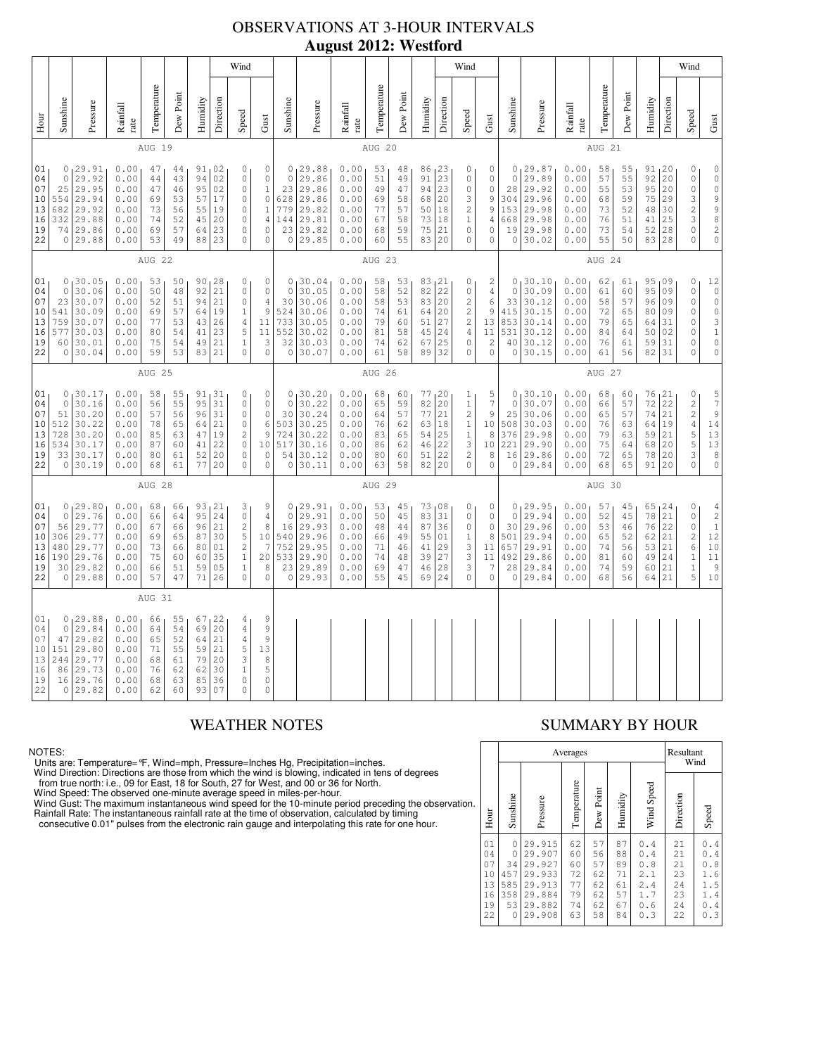## OBSERVATIONS AT 3-HOUR INTERVALS **August 2012: Westford**

|                                              |                                                                                                                                                                                                                                                                                                                                                                                                                                                                                         |                                                                              |                                                              |                                              |                                              |                                              |                                                                                                            | Wind                                                                                                       |                                                                                    |                                                              |                                                                         |                                                              |                                                                 |                                              |                                                                                                         |                                                                                                   | Wind                                                                                                                  |                                                                         |                                                                           |                                                                         |                                                              |                                                     |                                              |                                                                                                                         |                                                                                                                                          | Wind                                                                                                             |                                                                                                                                  |
|----------------------------------------------|-----------------------------------------------------------------------------------------------------------------------------------------------------------------------------------------------------------------------------------------------------------------------------------------------------------------------------------------------------------------------------------------------------------------------------------------------------------------------------------------|------------------------------------------------------------------------------|--------------------------------------------------------------|----------------------------------------------|----------------------------------------------|----------------------------------------------|------------------------------------------------------------------------------------------------------------|------------------------------------------------------------------------------------------------------------|------------------------------------------------------------------------------------|--------------------------------------------------------------|-------------------------------------------------------------------------|--------------------------------------------------------------|-----------------------------------------------------------------|----------------------------------------------|---------------------------------------------------------------------------------------------------------|---------------------------------------------------------------------------------------------------|-----------------------------------------------------------------------------------------------------------------------|-------------------------------------------------------------------------|---------------------------------------------------------------------------|-------------------------------------------------------------------------|--------------------------------------------------------------|-----------------------------------------------------|----------------------------------------------|-------------------------------------------------------------------------------------------------------------------------|------------------------------------------------------------------------------------------------------------------------------------------|------------------------------------------------------------------------------------------------------------------|----------------------------------------------------------------------------------------------------------------------------------|
| Hour                                         | Sunshine                                                                                                                                                                                                                                                                                                                                                                                                                                                                                | Pressure                                                                     | Rainfall<br>rate                                             | Temperature                                  | Dew Point                                    | Humidity                                     | Direction                                                                                                  | Speed                                                                                                      | Gust                                                                               | Sunshine                                                     | Pressure                                                                | Rainfall<br>rate                                             | Temperature                                                     | Dew Point                                    | Humidity                                                                                                | Direction                                                                                         | Speed                                                                                                                 | Gust                                                                    | Sunshine                                                                  | Pressure                                                                | Rainfall<br>rate                                             | Temperature                                         | Dew Point                                    | Humidity                                                                                                                | Direction                                                                                                                                | Speed                                                                                                            | $\mbox{Gust}$                                                                                                                    |
|                                              |                                                                                                                                                                                                                                                                                                                                                                                                                                                                                         |                                                                              |                                                              | AUG 19                                       |                                              |                                              |                                                                                                            |                                                                                                            |                                                                                    |                                                              |                                                                         |                                                              | AUG 20                                                          |                                              |                                                                                                         |                                                                                                   |                                                                                                                       |                                                                         |                                                                           |                                                                         |                                                              | AUG 21                                              |                                              |                                                                                                                         |                                                                                                                                          |                                                                                                                  |                                                                                                                                  |
| 01<br>04<br>07<br>10<br>13<br>16<br>19<br>22 | 0, 29.91<br>0.00<br>91 02<br>$\circ$<br>47<br>44<br>02<br>$\circ$<br>29.92<br>0.00<br>94<br>$\mathbb O$<br>44<br>43<br>25<br>29.95<br>0.00<br>47<br>95<br>02<br>$\mathbb O$<br>46<br>554<br>29.94<br>0.00<br>53<br>57<br>17<br>$\mathbb O$<br>69<br>682<br>29.92<br>0.00<br>73<br>55<br>19<br>$\mathbb O$<br>56<br>332<br>29.88<br>0.00<br>74<br>52<br>45<br>20<br>$\circ$<br>74 29.86<br>0.00<br>57<br>23<br>$\circ$<br>69<br>64<br>23<br>0 29.88<br>49<br>$\circ$<br>0.00<br>53<br>88 |                                                                              |                                                              |                                              |                                              |                                              | $\mathbb O$<br>$\mathbb O$<br>$1\,$<br>$\mathbb O$<br>$\mathbf{1}$<br>$\sqrt{4}$<br>$\mathbf 0$<br>$\circ$ | $\circ$<br>23<br>628<br>779<br>144<br>23<br>$\circ$                                                        | 0, 29.88<br>29.86<br>29.86<br>29.86<br>29.82<br>29.81<br>29.82<br>29.85            | 0.00<br>0.00<br>0.00<br>0.00<br>0.00<br>0.00<br>0.00<br>0.00 | 53<br>51<br>49<br>69<br>77<br>67<br>68<br>60                            | 48<br>49<br>47<br>58<br>57<br>58<br>59<br>55                 | 86 <sub>1</sub> 23<br>91<br>94<br>68 20<br>50<br>73<br>75<br>83 | 23<br>23<br> 18<br> 18<br>21<br> 20          | 0<br>$\mathsf{O}\xspace$<br>$\mathsf{O}\xspace$<br>3<br>$\sqrt{2}$<br>$\,1$<br>$\mathsf{O}\xspace$<br>0 | 0<br>$\mathsf{O}\xspace$<br>$\mathsf{O}\xspace$<br>9<br>9<br>$\overline{4}$<br>$\circ$<br>$\circ$ | $\circ$<br>28<br>304<br>153<br>668<br>19<br>0                                                                         | 0, 29.87<br>29.89<br>29.92<br>29.96<br>29.98<br>29.98<br>29.98<br>30.02 | 0.00 <sub>1</sub><br>0.00<br>0.00<br>0.00<br>0.00<br>0.00<br>0.00<br>0.00 | 58<br>57<br>55<br>68<br>73<br>76<br>73<br>55                            | 55<br>55<br>53<br>59<br>52<br>51<br>54<br>50                 | 91, 20<br>92<br>95<br>75<br>48<br>41<br>52<br>83 28 | 20<br>20<br>29<br>30<br>25<br>28             | 0<br>$\mathbb O$<br>$\mathbb O$<br>$\ensuremath{\mathsf{3}}$<br>$\overline{\mathbf{c}}$<br>3<br>$\mathbf 0$<br>$\Omega$ | $\mathsf{O}\xspace$<br>$\mathbb O$<br>$\mathsf{O}\xspace$<br>$\begin{array}{c} 9 \\ 9 \\ 8 \end{array}$<br>$\overline{c}$<br>$\mathbf 0$ |                                                                                                                  |                                                                                                                                  |
|                                              | AUG 22                                                                                                                                                                                                                                                                                                                                                                                                                                                                                  |                                                                              |                                                              |                                              |                                              |                                              | AUG 23                                                                                                     |                                                                                                            |                                                                                    |                                                              |                                                                         |                                                              |                                                                 | AUG 24                                       |                                                                                                         |                                                                                                   |                                                                                                                       |                                                                         |                                                                           |                                                                         |                                                              |                                                     |                                              |                                                                                                                         |                                                                                                                                          |                                                                                                                  |                                                                                                                                  |
| 01<br>04<br>07<br>10<br>13<br>16<br>19<br>22 | $\circ$<br>23<br>541<br>759<br>577                                                                                                                                                                                                                                                                                                                                                                                                                                                      | 0, 30.05<br>30.06<br>30.07<br>30.09<br>30.07<br>30.03<br>60 30.01<br>0 30.04 | 0.00<br>0.00<br>0.00<br>0.00<br>0.00<br>0.00<br>0.00<br>0.00 | 53<br>50<br>52<br>69<br>77<br>80<br>75<br>59 | 50<br>48<br>51<br>57<br>53<br>54<br>54<br>53 | 92<br>94<br>64<br>43<br>41<br>49<br>83       | 90, 28<br>21<br>21<br>19<br>26<br>23<br>21<br>21                                                           | $\circ$<br>$\circ$<br>$\mathbb O$<br>$\mathbf{1}$<br>$\overline{4}$<br>5<br>$\mathbf 1$<br>$\Omega$        | $\mathbb O$<br>$\mathbb O$<br>$\overline{4}$<br>9<br>11<br>11<br>3<br>$\mathbf{0}$ | $\circ$<br>30<br>524<br>733<br>552<br>32<br>$\circ$          | 0, 30.04<br>30.05<br>30.06<br>30.06<br>30.05<br>30.02<br>30.03<br>30.07 | 0.00<br>0.00<br>0.00<br>0.00<br>0.00<br>0.00<br>0.00<br>0.00 | 58<br>58<br>58<br>74<br>79<br>81<br>74<br>61                    | 53<br>52<br>53<br>61<br>60<br>58<br>62<br>58 | 83, 21<br>$82$ 22<br>83 20<br>64<br>51<br>45<br>67<br>89                                                | 20<br>27<br>24<br>25<br>32                                                                        | 0<br>$\mathsf{O}\xspace$<br>$\overline{c}$<br>$\sqrt{2}$<br>$\sqrt{2}$<br>$\sqrt{4}$<br>$\mathbb O$<br>$\overline{0}$ | 2<br>$\overline{4}$<br>6<br>9<br>13<br>11<br>$\sqrt{2}$<br>$\mathbf 0$  | $\circ$<br>33<br>415<br>853<br>531<br>40<br>0                             | 0, 30.10<br>30.09<br>30.12<br>30.15<br>30.14<br>30.12<br>30.12<br>30.15 | 0.00<br>0.00<br>0.00<br>0.00<br>0.00<br>0.00<br>0.00<br>0.00 | 62<br>61<br>58<br>72<br>79<br>84<br>76<br>61        | 61<br>60<br>57<br>65<br>65<br>64<br>61<br>56 | 95<br>95<br>96<br>80<br>64<br>50<br>59<br>82                                                                            | 09<br>09<br>09<br>09<br>31<br>02<br>31<br>31                                                                                             | $\mathbb O$<br>$\circ$<br>$\mathbf 0$<br>$\mathbf 0$<br>$\mathbf 0$<br>$\mathbf 0$<br>$\mathbb O$<br>$\mathbf 0$ | $\begin{smallmatrix}1&2\\1&0\end{smallmatrix}$<br>$\mathsf{O}\xspace$<br>$\mathbb O$<br>3<br>$\,1$<br>$\mathbb O$<br>$\mathbb O$ |
|                                              |                                                                                                                                                                                                                                                                                                                                                                                                                                                                                         |                                                                              |                                                              | AUG 25                                       |                                              |                                              |                                                                                                            |                                                                                                            |                                                                                    | AUG 26                                                       |                                                                         |                                                              |                                                                 |                                              |                                                                                                         |                                                                                                   | AUG 27                                                                                                                |                                                                         |                                                                           |                                                                         |                                                              |                                                     |                                              |                                                                                                                         |                                                                                                                                          |                                                                                                                  |                                                                                                                                  |
| 01<br>04<br>07<br>10<br>13<br>16<br>19<br>22 | $\circ$<br>51<br>512<br>728<br>534<br>33                                                                                                                                                                                                                                                                                                                                                                                                                                                | 0, 30.17<br>30.16<br>30.20<br>30.22<br>30.20<br>30.17<br>30.17<br>0 30.19    | 0.00<br>0.00<br>0.00<br>0.00<br>0.00<br>0.00<br>0.00<br>0.00 | 58<br>56<br>57<br>78<br>85<br>87<br>80<br>68 | 55<br>55<br>56<br>65<br>63<br>60<br>61<br>61 | 91<br>95<br>96<br>64<br>47<br>41<br>52<br>77 | 131<br>31<br>31<br>21<br>19<br>22<br>20<br>20                                                              | $\circ$<br>$\mathbb O$<br>$\mathbb O$<br>$\mathbb O$<br>$\mathbf{2}$<br>$\circ$<br>$\circ$<br>$\mathbf{0}$ | $\mathbb O$<br>$\mathbb O$<br>$\mathbb O$<br>6<br>9<br>10<br>$\circ$<br>$\circ$    | 0<br>$\circ$<br>30<br>503<br>724<br>517<br>54<br>$\circ$     | 30.20<br>30.22<br>30.24<br>30.25<br>30.22<br>30.16<br>30.12<br>30.11    | 0.00<br>0.00<br>0.00<br>0.00<br>0.00<br>0.00<br>0.00<br>0.00 | 68<br>65<br>64<br>76<br>83<br>86<br>80<br>63                    | 60<br>59<br>57<br>62<br>65<br>62<br>60<br>58 | 77<br>82<br>77<br>63<br>54<br>46<br>51<br>82                                                            | 120<br> 20<br>21<br> 18<br>25<br>22<br>22<br>20                                                   | 1<br>$\,1\,$<br>$\sqrt{2}$<br>$\,1$<br>$\,1$<br>3<br>$\overline{c}$<br>$\circ$                                        | 5<br>$\boldsymbol{7}$<br>9<br>10<br>8<br>10<br>8<br>$\mathbb O$         | 0<br>$\circ$<br>25<br>508<br>376<br>221<br>16<br>0                        | 30.10<br>30.07<br>30.06<br>30.03<br>29.98<br>29.90<br>29.86<br>29.84    | 0.00<br>0.00<br>0.00<br>0.00<br>0.00<br>0.00<br>0.00<br>0.00 | 68<br>66<br>65<br>76<br>79<br>75<br>72<br>68        | 60<br>57<br>57<br>63<br>63<br>64<br>65<br>65 | 76<br>72<br>74<br>64<br>59<br>68<br>78<br>91                                                                            | 121<br>22<br>21<br>19<br>21<br>20<br>20<br>20                                                                                            | 0<br>$\frac{2}{2}$<br>$\sqrt{4}$<br>5<br>5<br>3<br>$\mathbf 0$                                                   | $\frac{5}{7}$<br>$\,9$<br>$1\,4$<br>13<br>$13$<br>$\,8\,$<br>$\mathsf{O}\xspace$                                                 |
|                                              |                                                                                                                                                                                                                                                                                                                                                                                                                                                                                         |                                                                              |                                                              | AUG 28                                       |                                              |                                              |                                                                                                            |                                                                                                            |                                                                                    |                                                              |                                                                         |                                                              | AUG 29                                                          |                                              |                                                                                                         |                                                                                                   |                                                                                                                       |                                                                         |                                                                           |                                                                         |                                                              | AUG 30                                              |                                              |                                                                                                                         |                                                                                                                                          |                                                                                                                  |                                                                                                                                  |
| 01<br>04<br>07<br>10<br>13<br>16<br>19<br>22 | $\circ$<br>56<br>306<br>480<br>190                                                                                                                                                                                                                                                                                                                                                                                                                                                      | 0, 29.80<br>29.76<br>29.77<br>29.77<br>29.77<br>29.76<br>30 29.82<br>0 29.88 | 0.00<br>0.00<br>0.00<br>0.00<br>0.00<br>0.00<br>0.00<br>0.00 | 68<br>66<br>67<br>69<br>73<br>75<br>66<br>57 | 66<br>64<br>66<br>65<br>66<br>60<br>51<br>47 | 95<br>96<br>87<br>80<br>60<br>59<br>71       | 93, 21<br>24<br>21<br>30<br>01<br>35<br>05<br>26                                                           | 3<br>$\mathbb O$<br>$\sqrt{2}$<br>5<br>$\sqrt{2}$<br>$\,1$<br>$\mathbf{1}$<br>$\circ$                      | 9<br>$\sqrt{4}$<br>8<br>10<br>$\overline{7}$<br>20<br>8<br>$\mathbb O$             | 0 <sub>1</sub><br>0<br>16<br>540<br>752<br>533<br>23<br>0    | 29.91<br>29.91<br>29.93<br>29.96<br>29.95<br>29.90<br>29.89<br>29.93    | 0.00<br>0.00<br>0.00<br>0.00<br>0.00<br>0.00<br>0.00<br>0.00 | 53<br>50<br>48<br>66<br>71<br>74<br>69<br>55                    | 45<br>45<br>44<br>49<br>46<br>48<br>47<br>45 | 73,08<br>83<br>87<br>55<br>41<br>39<br>46<br>69                                                         | 31<br>36<br>01<br>29<br>27<br>28<br>24                                                            | 0<br>$\mathsf{O}\xspace$<br>0<br>$\,1$<br>3<br>3<br>3<br>0                                                            | 0<br>$\mathsf{O}\xspace$<br>0<br>8<br>11<br>11<br>7<br>$\mathbb O$      | $\circ$<br>30<br>501<br>657<br>492<br>28<br>0                             | 0, 29.95<br>29.94<br>29.96<br>29.94<br>29.91<br>29.86<br>29.84<br>29.84 | 0.00<br>0.00<br>0.00<br>0.00<br>0.00<br>0.00<br>0.00<br>0.00 | 57<br>52<br>53<br>65<br>74<br>81<br>74<br>68        | 45<br>45<br>46<br>52<br>56<br>60<br>59<br>56 | 65, 24<br>78<br>76<br>62<br>53<br>49<br>60<br>64                                                                        | 21<br>22<br>21<br>21<br>24<br>21<br>21                                                                                                   | $\circ$<br>$\mathbb O$<br>0<br>$\overline{\mathbf{c}}$<br>6<br>$1\,$<br>$\mathbf 1$<br>5                         | $\begin{array}{c} 4 \\ 2 \\ 1 \end{array}$<br>12<br>$10$<br>$1\,1$<br>$\mathsf 9$<br>$10$                                        |
|                                              |                                                                                                                                                                                                                                                                                                                                                                                                                                                                                         |                                                                              |                                                              | AUG 31                                       |                                              |                                              |                                                                                                            |                                                                                                            |                                                                                    |                                                              |                                                                         |                                                              |                                                                 |                                              |                                                                                                         |                                                                                                   |                                                                                                                       |                                                                         |                                                                           |                                                                         |                                                              |                                                     |                                              |                                                                                                                         |                                                                                                                                          |                                                                                                                  |                                                                                                                                  |
| 01<br>04<br>07<br>10<br>13<br>16<br>19<br>22 | $\circ$<br>47<br>151<br>244<br>86                                                                                                                                                                                                                                                                                                                                                                                                                                                       | 0, 29.88<br>29.84<br>29.82<br>29.80<br>29.77<br>29.73<br>16 29.76<br>0 29.82 | 0.00<br>0.00<br>0.00<br>0.00<br>0.00<br>0.00<br>0.00<br>0.00 | 66<br>64<br>65<br>71<br>68<br>76<br>68<br>62 | 55<br>54<br>52<br>55<br>61<br>62<br>63<br>60 | 69<br>64<br>59<br>79<br>62<br>85<br>93       | 67, 22<br>20<br>21<br>21<br>20<br>30<br>36<br>07                                                           | 4 <sub>1</sub><br>$\overline{4}$<br>$\overline{4}$<br>5<br>3<br>$\mathbf 1$<br>$\mathbb O$<br>$\Omega$     | 9<br>$\mathfrak{g}$<br>9<br>13<br>8<br>5<br>$\circ$<br>$\circ$                     |                                                              |                                                                         |                                                              |                                                                 |                                              |                                                                                                         |                                                                                                   |                                                                                                                       |                                                                         |                                                                           |                                                                         |                                                              |                                                     |                                              |                                                                                                                         |                                                                                                                                          |                                                                                                                  |                                                                                                                                  |

NOTES:

Units are: Temperature= °F, Wind=mph, Pressure=lnches Hg, Precipitation=inches.<br>Wind Direction: Directions are those from which the wind is blowing, indicated in tens of degrees<br>from true north: i.e., 09 for East, 18 for S

## WEATHER NOTES SUMMARY BY HOUR

|    |                                              |                                                              |                                                                              | Averages                                     |                                              |                                              |                                                      | Resultant<br>Wind                            |                                                                  |  |  |  |
|----|----------------------------------------------|--------------------------------------------------------------|------------------------------------------------------------------------------|----------------------------------------------|----------------------------------------------|----------------------------------------------|------------------------------------------------------|----------------------------------------------|------------------------------------------------------------------|--|--|--|
| ä, | Hour                                         | Sunshine                                                     | Pressure                                                                     | Temperature                                  | Dew Point                                    | Humidity                                     | Wind Speed                                           | Direction                                    | Speed                                                            |  |  |  |
|    | 01<br>04<br>07<br>10<br>13<br>16<br>19<br>22 | $\circ$<br>$\mathbf 0$<br>34<br>457<br>585<br>358<br>53<br>0 | 29.915<br>29.907<br>29.927<br>29.933<br>29.913<br>29.884<br>29.882<br>29.908 | 62<br>60<br>60<br>72<br>77<br>79<br>74<br>63 | 57<br>56<br>57<br>62<br>62<br>62<br>62<br>58 | 87<br>88<br>89<br>71<br>61<br>57<br>67<br>84 | 0.4<br>0.4<br>0.8<br>2.1<br>2.4<br>1.7<br>0.6<br>0.3 | 21<br>21<br>21<br>23<br>24<br>23<br>24<br>22 | 0.4<br>0<br>.4<br>0<br>.8<br>1.6<br>1.5<br>1.4<br>0<br>.4<br>0.3 |  |  |  |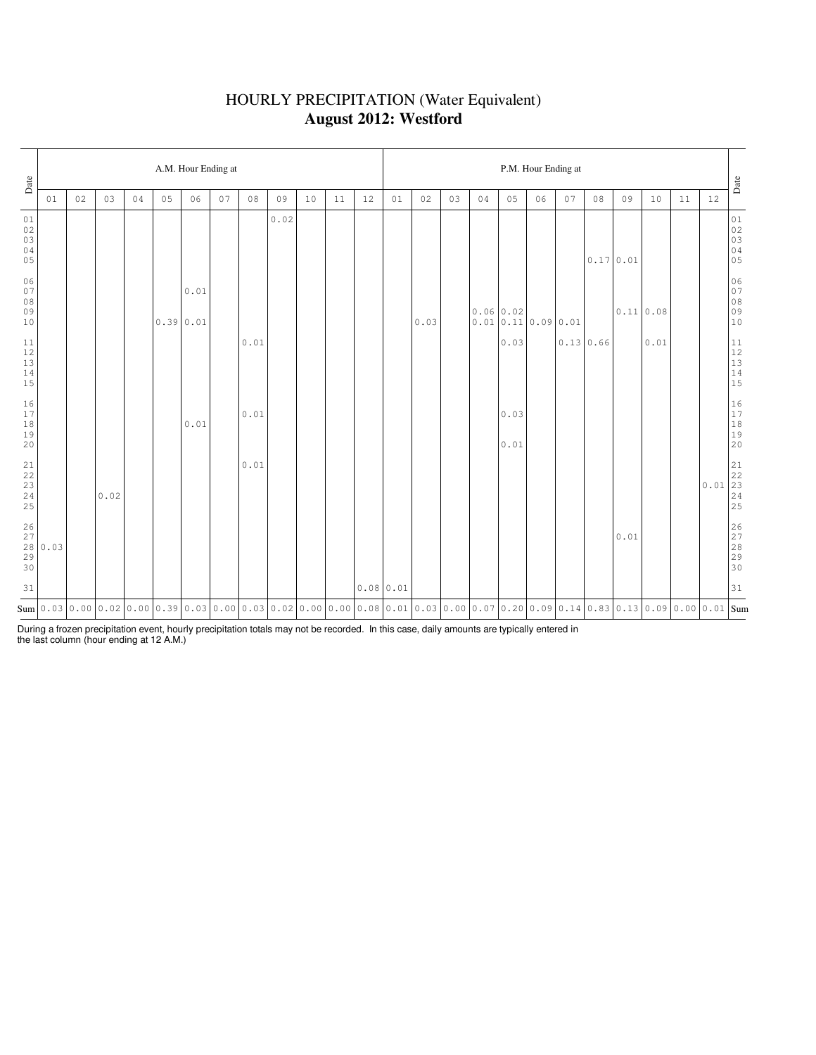### HOURLY PRECIPITATION (Water Equivalent) **August 2012: Westford**

| Date                                                      |      |    |      |    |    | A.M. Hour Ending at |    |                |                                                                                                                                                            |    |    |           | P.M. Hour Ending at |      |    |           |                  |    |                  |           |      |           |    |      |                                                                               |
|-----------------------------------------------------------|------|----|------|----|----|---------------------|----|----------------|------------------------------------------------------------------------------------------------------------------------------------------------------------|----|----|-----------|---------------------|------|----|-----------|------------------|----|------------------|-----------|------|-----------|----|------|-------------------------------------------------------------------------------|
|                                                           | 01   | 02 | 03   | 04 | 05 | 06                  | 07 | $0\,8$         | 09                                                                                                                                                         | 10 | 11 | 12        | 01                  | 02   | 03 | 04        | 05               | 06 | 07               | 08        | 09   | 10        | 11 | 12   | Date                                                                          |
| 01<br>02<br>03<br>04<br>05                                |      |    |      |    |    |                     |    |                | 0.02                                                                                                                                                       |    |    |           |                     |      |    |           |                  |    |                  | 0.17 0.01 |      |           |    |      | 01<br>02<br>03<br>03<br>04<br>05                                              |
| 06<br>07<br>08<br>09<br>10                                |      |    |      |    |    | 0.01<br>0.39 0.01   |    |                |                                                                                                                                                            |    |    |           |                     | 0.03 |    | 0.06 0.02 | 0.010.110.090.01 |    |                  |           |      | 0.11 0.08 |    |      | 06<br>07<br>08<br>09<br>09<br>10                                              |
| 11<br>$12\,$<br>13<br>$1\,4$<br>15                        |      |    |      |    |    |                     |    | 0.01           |                                                                                                                                                            |    |    |           |                     |      |    |           | 0.03             |    | $0.13 \mid 0.66$ |           |      | 0.01      |    |      | $\begin{array}{c} 11 \\ 12 \\ 13 \\ 14 \\ 15 \end{array}$                     |
| 16<br>17<br>$1\,8$<br>19<br>20                            |      |    |      |    |    | 0.01                |    | 0.01           |                                                                                                                                                            |    |    |           |                     |      |    |           | 0.03<br>0.01     |    |                  |           |      |           |    |      | $\begin{array}{c} 16 \\ 17 \\ 18 \\ 19 \\ 20 \end{array}$                     |
| $\begin{array}{c} 21 \\ 22 \end{array}$<br>23<br>24<br>25 |      |    | 0.02 |    |    |                     |    | $0\,$ . $0\,1$ |                                                                                                                                                            |    |    |           |                     |      |    |           |                  |    |                  |           |      |           |    | 0.01 | $\begin{array}{ c c }\hline 21 \\ 22 \\ 23 \\ 24 \\ \hline \end{array}$<br>25 |
| 26<br>$2\,7$<br>28<br>29<br>30                            | 0.03 |    |      |    |    |                     |    |                |                                                                                                                                                            |    |    |           |                     |      |    |           |                  |    |                  |           | 0.01 |           |    |      | 26<br>27<br>28<br>29<br>29<br>30                                              |
| 31                                                        |      |    |      |    |    |                     |    |                |                                                                                                                                                            |    |    | 0.0800.01 |                     |      |    |           |                  |    |                  |           |      |           |    |      | 31                                                                            |
|                                                           |      |    |      |    |    |                     |    |                | $_{\rm{Sum}}$  0.03 0.00 0.02 0.00 0.39 0.03 0.00 0.03 0.02 0.00 0.00 0.00 0.08 0.01 0.03 0.00 0.07 0.20 0.09 0.14 0.83 0.13 0.09 0.00 0.01  $_{\rm{Sum}}$ |    |    |           |                     |      |    |           |                  |    |                  |           |      |           |    |      |                                                                               |

During a frozen precipitation event, hourly precipitation totals may not be recorded. In this case, daily amounts are typically entered in the last column (hour ending at 12 A.M.)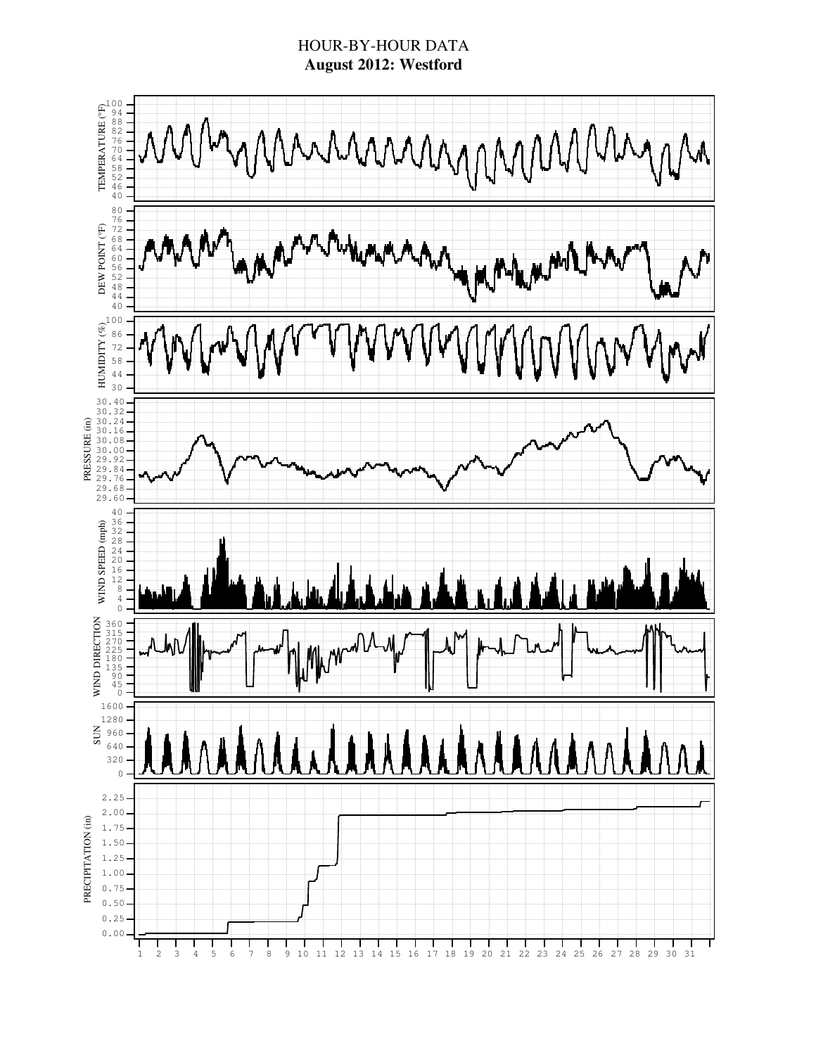### HOUR-BY-HOUR DATA **August 2012: Westford**